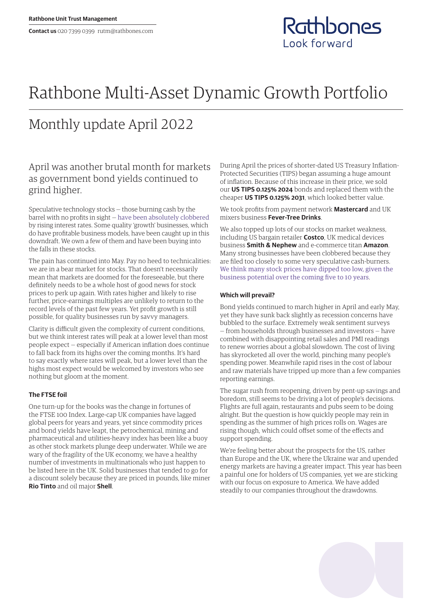

# Rathbone Multi-Asset Dynamic Growth Portfolio

## Monthly update April 2022

## April was another brutal month for markets as government bond yields continued to grind higher.

Speculative technology stocks — those burning cash by the barrel with no profits in sight — [have been absolutely clobbered](https://www.rathbones.com/blog/zombie-financing) by rising interest rates. Some quality 'growth' businesses, which do have profitable business models, have been caught up in this downdraft. We own a few of them and have been buying into the falls in these stocks.

The pain has continued into May. Pay no heed to technicalities: we are in a bear market for stocks. That doesn't necessarily mean that markets are doomed for the foreseeable, but there definitely needs to be a whole host of good news for stock prices to perk up again. With rates higher and likely to rise further, price-earnings multiples are unlikely to return to the record levels of the past few years. Yet profit growth is still possible, for quality businesses run by savvy managers.

Clarity is difficult given the complexity of current conditions, but we think interest rates will peak at a lower level than most people expect — especially if American inflation does continue to fall back from its highs over the coming months. It's hard to say exactly where rates will peak, but a lower level than the highs most expect would be welcomed by investors who see nothing but gloom at the moment.

### **The FTSE foil**

One turn-up for the books was the change in fortunes of the FTSE 100 Index. Large-cap UK companies have lagged global peers for years and years, yet since commodity prices and bond yields have leapt, the petrochemical, mining and pharmaceutical and utilities-heavy index has been like a buoy as other stock markets plunge deep underwater. While we are wary of the fragility of the UK economy, we have a healthy number of investments in multinationals who just happen to be listed here in the UK. Solid businesses that tended to go for a discount solely because they are priced in pounds, like miner **Rio Tinto** and oil major **Shell**.

During April the prices of shorter-dated US Treasury Inflation-Protected Securities (TIPS) began assuming a huge amount of inflation. Because of this increase in their price, we sold our **US TIPS 0.125% 2024** bonds and replaced them with the cheaper **US TIPS 0.125% 2031**, which looked better value.

We took profits from payment network **Mastercard** and UK mixers business **Fever-Tree Drinks**.

We also topped up lots of our stocks on market weakness, including US bargain retailer **Costco**, UK medical devices business **Smith & Nephew** and e-commerce titan **Amazon**. Many strong businesses have been clobbered because they are filed too closely to some very speculative cash-burners. [We think many stock prices have dipped too low, given the](https://linktr.ee/thesharpeend)  [business potential over the coming five to 10 years](https://linktr.ee/thesharpeend).

#### **Which will prevail?**

Bond yields continued to march higher in April and early May, yet they have sunk back slightly as recession concerns have bubbled to the surface. Extremely weak sentiment surveys — from households through businesses and investors — have combined with disappointing retail sales and PMI readings to renew worries about a global slowdown. The cost of living has skyrocketed all over the world, pinching many people's spending power. Meanwhile rapid rises in the cost of labour and raw materials have tripped up more than a few companies reporting earnings.

The sugar rush from reopening, driven by pent-up savings and boredom, still seems to be driving a lot of people's decisions. Flights are full again, restaurants and pubs seem to be doing alright. But the question is how quickly people may rein in spending as the summer of high prices rolls on. Wages are rising though, which could offset some of the effects and support spending.

We're feeling better about the prospects for the US, rather than Europe and the UK, where the Ukraine war and upended energy markets are having a greater impact. This year has been a painful one for holders of US companies, yet we are sticking with our focus on exposure to America. We have added steadily to our companies throughout the drawdowns.